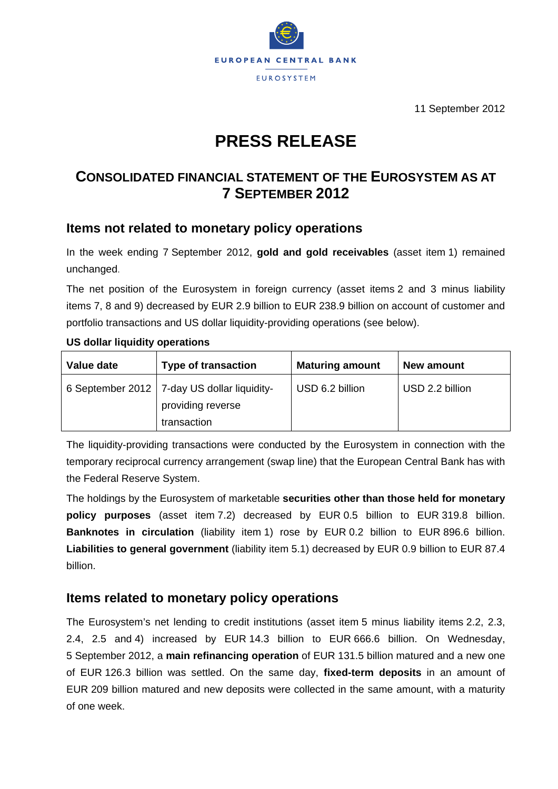

11 September 2012

# **PRESS RELEASE**

## **CONSOLIDATED FINANCIAL STATEMENT OF THE EUROSYSTEM AS AT 7 SEPTEMBER 2012**

## **Items not related to monetary policy operations**

In the week ending 7 September 2012, **gold and gold receivables** (asset item 1) remained unchanged.

The net position of the Eurosystem in foreign currency (asset items 2 and 3 minus liability items 7, 8 and 9) decreased by EUR 2.9 billion to EUR 238.9 billion on account of customer and portfolio transactions and US dollar liquidity-providing operations (see below).

| Value date | <b>Type of transaction</b>                                                        | <b>Maturing amount</b> | New amount      |
|------------|-----------------------------------------------------------------------------------|------------------------|-----------------|
|            | 6 September 2012   7-day US dollar liquidity-<br>providing reverse<br>transaction | USD 6.2 billion        | USD 2.2 billion |

#### **US dollar liquidity operations**

The liquidity-providing transactions were conducted by the Eurosystem in connection with the temporary reciprocal currency arrangement (swap line) that the European Central Bank has with the Federal Reserve System.

The holdings by the Eurosystem of marketable **securities other than those held for monetary policy purposes** (asset item 7.2) decreased by EUR 0.5 billion to EUR 319.8 billion. **Banknotes in circulation** (liability item 1) rose by EUR 0.2 billion to EUR 896.6 billion. **Liabilities to general government** (liability item 5.1) decreased by EUR 0.9 billion to EUR 87.4 billion.

## **Items related to monetary policy operations**

The Eurosystem's net lending to credit institutions (asset item 5 minus liability items 2.2, 2.3, 2.4, 2.5 and 4) increased by EUR 14.3 billion to EUR 666.6 billion. On Wednesday, 5 September 2012, a **main refinancing operation** of EUR 131.5 billion matured and a new one of EUR 126.3 billion was settled. On the same day, **fixed-term deposits** in an amount of EUR 209 billion matured and new deposits were collected in the same amount, with a maturity of one week.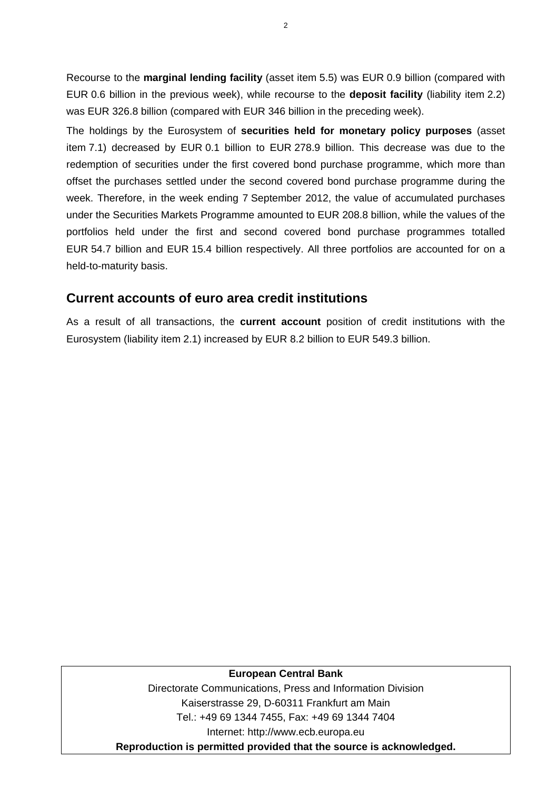Recourse to the **marginal lending facility** (asset item 5.5) was EUR 0.9 billion (compared with EUR 0.6 billion in the previous week), while recourse to the **deposit facility** (liability item 2.2) was EUR 326.8 billion (compared with EUR 346 billion in the preceding week).

The holdings by the Eurosystem of **securities held for monetary policy purposes** (asset item 7.1) decreased by EUR 0.1 billion to EUR 278.9 billion. This decrease was due to the redemption of securities under the first covered bond purchase programme, which more than offset the purchases settled under the second covered bond purchase programme during the week. Therefore, in the week ending 7 September 2012, the value of accumulated purchases under the Securities Markets Programme amounted to EUR 208.8 billion, while the values of the portfolios held under the first and second covered bond purchase programmes totalled EUR 54.7 billion and EUR 15.4 billion respectively. All three portfolios are accounted for on a held-to-maturity basis.

### **Current accounts of euro area credit institutions**

As a result of all transactions, the **current account** position of credit institutions with the Eurosystem (liability item 2.1) increased by EUR 8.2 billion to EUR 549.3 billion.

#### **European Central Bank**

Directorate Communications, Press and Information Division Kaiserstrasse 29, D-60311 Frankfurt am Main Tel.: +49 69 1344 7455, Fax: +49 69 1344 7404 Internet: http://www.ecb.europa.eu **Reproduction is permitted provided that the source is acknowledged.**